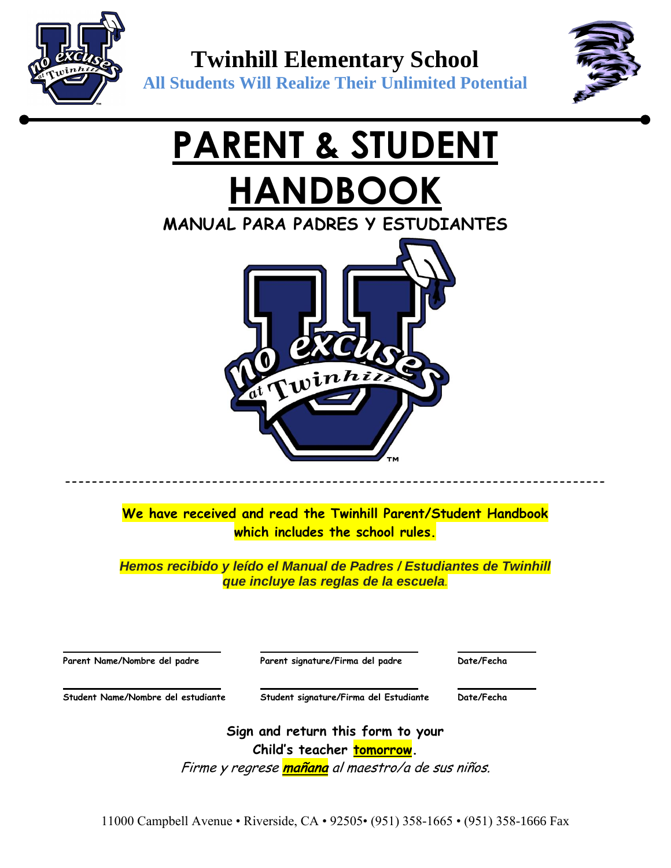



# **PARENT & STUDENT HANDBOOK**

**MANUAL PARA PADRES Y ESTUDIANTES**



**We have received and read the Twinhill Parent/Student Handbook which includes the school rules.**

**---------------------------------------------------------------------------------**

*Hemos recibido y leído el Manual de Padres / Estudiantes de Twinhill que incluye las reglas de la escuela.*

| Parent Name/Nombre del padre       | Parent signature/Firma del padre       | Date/Fecha |
|------------------------------------|----------------------------------------|------------|
| Student Name/Nombre del estudiante | Student signature/Firma del Estudiante | Date/Fecha |

**Sign and return this form to your Child's teacher tomorrow.**

Firme y regrese **mañana** al maestro/a de sus niños.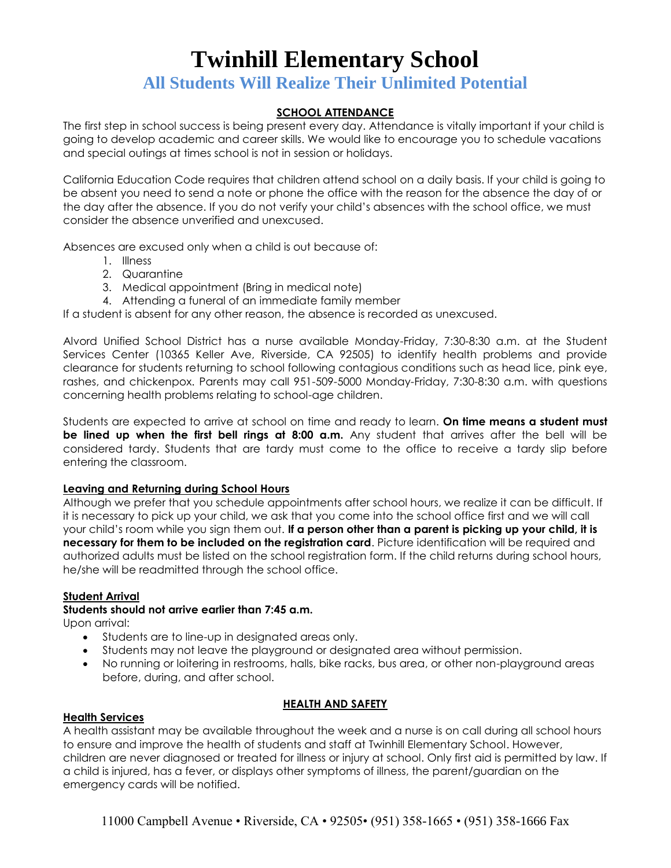## **All Students Will Realize Their Unlimited Potential**

## **SCHOOL ATTENDANCE**

The first step in school success is being present every day. Attendance is vitally important if your child is going to develop academic and career skills. We would like to encourage you to schedule vacations and special outings at times school is not in session or holidays.

California Education Code requires that children attend school on a daily basis. If your child is going to be absent you need to send a note or phone the office with the reason for the absence the day of or the day after the absence. If you do not verify your child's absences with the school office, we must consider the absence unverified and unexcused.

Absences are excused only when a child is out because of:

- 1. Illness
- 2. Quarantine
- 3. Medical appointment (Bring in medical note)
- 4. Attending a funeral of an immediate family member

If a student is absent for any other reason, the absence is recorded as unexcused.

Alvord Unified School District has a nurse available Monday-Friday, 7:30-8:30 a.m. at the Student Services Center (10365 Keller Ave, Riverside, CA 92505) to identify health problems and provide clearance for students returning to school following contagious conditions such as head lice, pink eye, rashes, and chickenpox. Parents may call 951-509-5000 Monday-Friday, 7:30-8:30 a.m. with questions concerning health problems relating to school-age children.

Students are expected to arrive at school on time and ready to learn. **On time means a student must be lined up when the first bell rings at 8:00 a.m.** Any student that arrives after the bell will be considered tardy. Students that are tardy must come to the office to receive a tardy slip before entering the classroom.

## **Leaving and Returning during School Hours**

Although we prefer that you schedule appointments after school hours, we realize it can be difficult. If it is necessary to pick up your child, we ask that you come into the school office first and we will call your child's room while you sign them out. **If a person other than a parent is picking up your child, it is necessary for them to be included on the registration card**. Picture identification will be required and authorized adults must be listed on the school registration form. If the child returns during school hours, he/she will be readmitted through the school office.

## **Student Arrival**

## **Students should not arrive earlier than 7:45 a.m.**

Upon arrival:

- Students are to line-up in designated areas only.
- Students may not leave the playground or designated area without permission.
- No running or loitering in restrooms, halls, bike racks, bus area, or other non-playground areas before, during, and after school.

## **HEALTH AND SAFETY**

## **Health Services**

A health assistant may be available throughout the week and a nurse is on call during all school hours to ensure and improve the health of students and staff at Twinhill Elementary School. However, children are never diagnosed or treated for illness or injury at school. Only first aid is permitted by law. If a child is injured, has a fever, or displays other symptoms of illness, the parent/guardian on the emergency cards will be notified.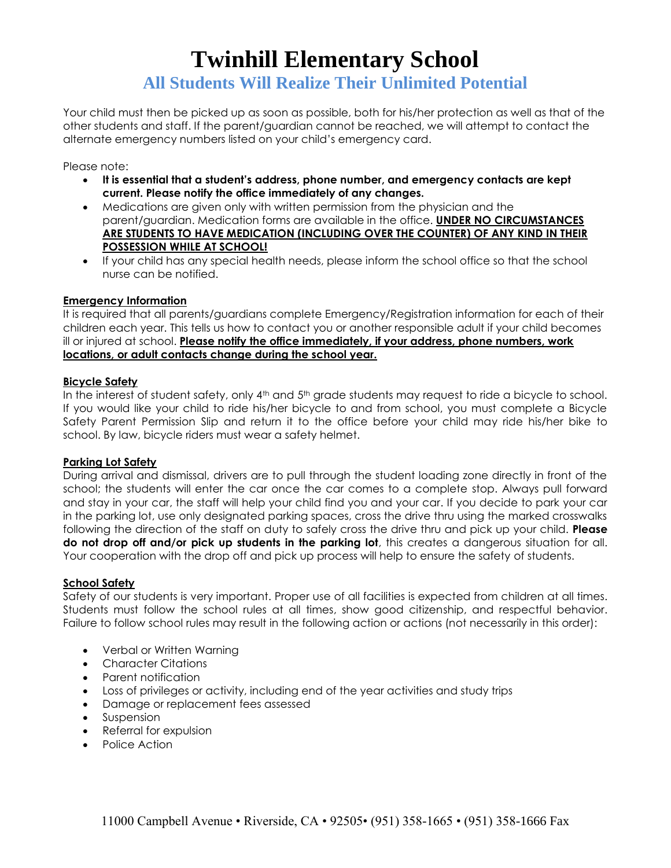Your child must then be picked up as soon as possible, both for his/her protection as well as that of the other students and staff. If the parent/guardian cannot be reached, we will attempt to contact the alternate emergency numbers listed on your child's emergency card.

Please note:

- **It is essential that a student's address, phone number, and emergency contacts are kept current. Please notify the office immediately of any changes.**
- Medications are given only with written permission from the physician and the parent/guardian. Medication forms are available in the office. **UNDER NO CIRCUMSTANCES ARE STUDENTS TO HAVE MEDICATION (INCLUDING OVER THE COUNTER) OF ANY KIND IN THEIR POSSESSION WHILE AT SCHOOL!**
- If your child has any special health needs, please inform the school office so that the school nurse can be notified.

## **Emergency Information**

It is required that all parents/guardians complete Emergency/Registration information for each of their children each year. This tells us how to contact you or another responsible adult if your child becomes ill or injured at school. **Please notify the office immediately, if your address, phone numbers, work locations, or adult contacts change during the school year.**

## **Bicycle Safety**

In the interest of student safety, only 4<sup>th</sup> and 5<sup>th</sup> grade students may request to ride a bicycle to school. If you would like your child to ride his/her bicycle to and from school, you must complete a Bicycle Safety Parent Permission Slip and return it to the office before your child may ride his/her bike to school. By law, bicycle riders must wear a safety helmet.

## **Parking Lot Safety**

During arrival and dismissal, drivers are to pull through the student loading zone directly in front of the school; the students will enter the car once the car comes to a complete stop. Always pull forward and stay in your car, the staff will help your child find you and your car. If you decide to park your car in the parking lot, use only designated parking spaces, cross the drive thru using the marked crosswalks following the direction of the staff on duty to safely cross the drive thru and pick up your child. **Please do not drop off and/or pick up students in the parking lot**, this creates a dangerous situation for all. Your cooperation with the drop off and pick up process will help to ensure the safety of students.

## **School Safety**

Safety of our students is very important. Proper use of all facilities is expected from children at all times. Students must follow the school rules at all times, show good citizenship, and respectful behavior. Failure to follow school rules may result in the following action or actions (not necessarily in this order):

- Verbal or Written Warning
- Character Citations
- Parent notification
- Loss of privileges or activity, including end of the year activities and study trips
- Damage or replacement fees assessed
- Suspension
- Referral for expulsion
- Police Action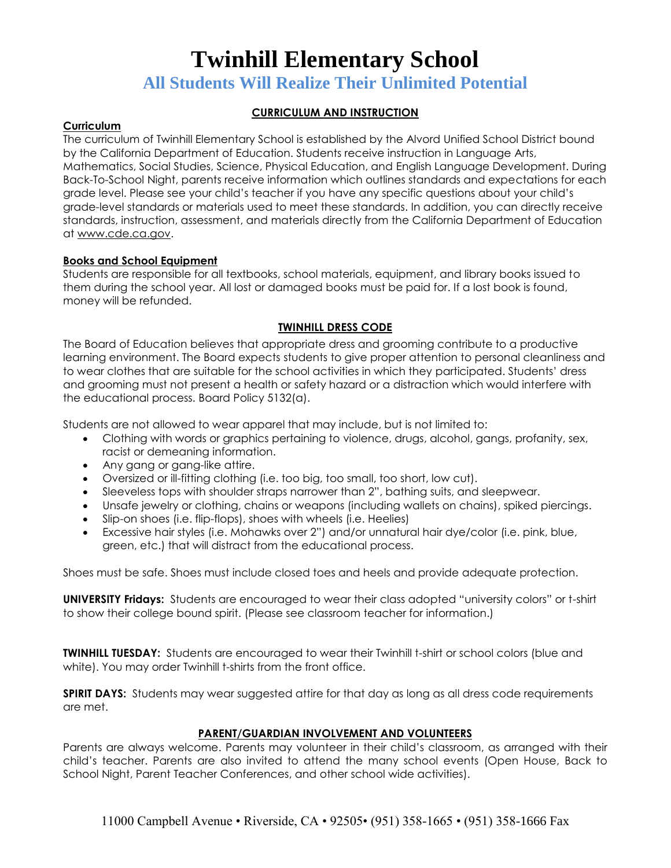**All Students Will Realize Their Unlimited Potential**

## **CURRICULUM AND INSTRUCTION**

## **Curriculum**

The curriculum of Twinhill Elementary School is established by the Alvord Unified School District bound by the California Department of Education. Students receive instruction in Language Arts, Mathematics, Social Studies, Science, Physical Education, and English Language Development. During Back-To-School Night, parents receive information which outlines standards and expectations for each grade level. Please see your child's teacher if you have any specific questions about your child's grade-level standards or materials used to meet these standards. In addition, you can directly receive standards, instruction, assessment, and materials directly from the California Department of Education at [www.cde.ca.gov.](http://www.cde.ca.gov/)

## **Books and School Equipment**

Students are responsible for all textbooks, school materials, equipment, and library books issued to them during the school year. All lost or damaged books must be paid for. If a lost book is found, money will be refunded.

## **TWINHILL DRESS CODE**

The Board of Education believes that appropriate dress and grooming contribute to a productive learning environment. The Board expects students to give proper attention to personal cleanliness and to wear clothes that are suitable for the school activities in which they participated. Students' dress and grooming must not present a health or safety hazard or a distraction which would interfere with the educational process. Board Policy 5132(a).

Students are not allowed to wear apparel that may include, but is not limited to:

- Clothing with words or graphics pertaining to violence, drugs, alcohol, gangs, profanity, sex, racist or demeaning information.
- Any gang or gang-like attire.
- Oversized or ill-fitting clothing (i.e. too big, too small, too short, low cut).
- Sleeveless tops with shoulder straps narrower than 2", bathing suits, and sleepwear.
- Unsafe jewelry or clothing, chains or weapons (including wallets on chains), spiked piercings.
- Slip-on shoes (i.e. flip-flops), shoes with wheels (i.e. Heelies)
- Excessive hair styles (i.e. Mohawks over 2") and/or unnatural hair dye/color (i.e. pink, blue, green, etc.) that will distract from the educational process.

Shoes must be safe. Shoes must include closed toes and heels and provide adequate protection.

**UNIVERSITY Fridays:** Students are encouraged to wear their class adopted "university colors" or t-shirt to show their college bound spirit. (Please see classroom teacher for information.)

**TWINHILL TUESDAY:** Students are encouraged to wear their Twinhill t-shirt or school colors (blue and white). You may order Twinhill t-shirts from the front office.

**SPIRIT DAYS:** Students may wear suggested attire for that day as long as all dress code requirements are met.

## **PARENT/GUARDIAN INVOLVEMENT AND VOLUNTEERS**

Parents are always welcome. Parents may volunteer in their child's classroom, as arranged with their child's teacher. Parents are also invited to attend the many school events (Open House, Back to School Night, Parent Teacher Conferences, and other school wide activities).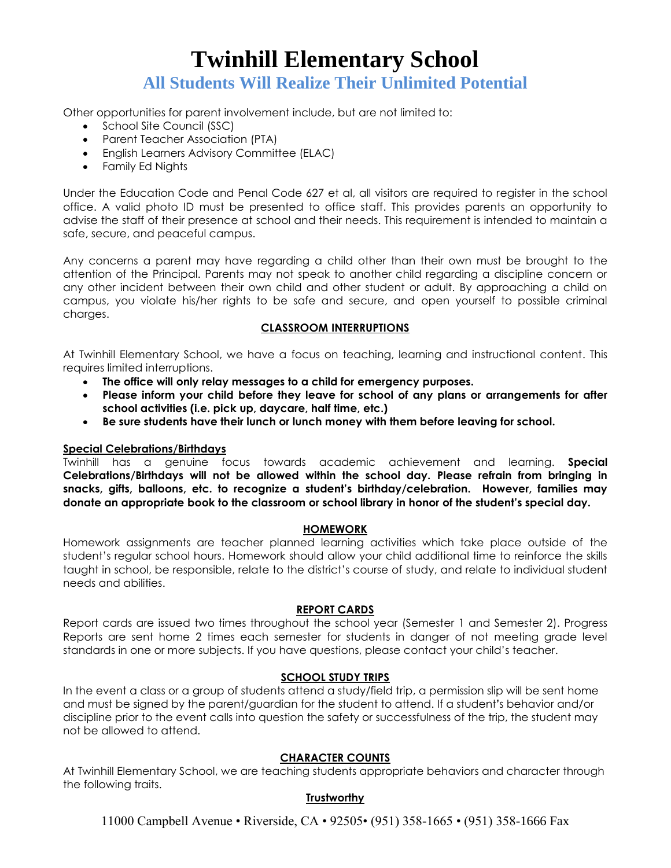Other opportunities for parent involvement include, but are not limited to:

- School Site Council (SSC)
- Parent Teacher Association (PTA)
- English Learners Advisory Committee (ELAC)
- Family Ed Nights

Under the Education Code and Penal Code 627 et al, all visitors are required to register in the school office. A valid photo ID must be presented to office staff. This provides parents an opportunity to advise the staff of their presence at school and their needs. This requirement is intended to maintain a safe, secure, and peaceful campus.

Any concerns a parent may have regarding a child other than their own must be brought to the attention of the Principal. Parents may not speak to another child regarding a discipline concern or any other incident between their own child and other student or adult. By approaching a child on campus, you violate his/her rights to be safe and secure, and open yourself to possible criminal charges.

### **CLASSROOM INTERRUPTIONS**

At Twinhill Elementary School, we have a focus on teaching, learning and instructional content. This requires limited interruptions.

- **The office will only relay messages to a child for emergency purposes.**
- **Please inform your child before they leave for school of any plans or arrangements for after school activities (i.e. pick up, daycare, half time, etc.)**
- **Be sure students have their lunch or lunch money with them before leaving for school.**

## **Special Celebrations/Birthdays**

Twinhill has a genuine focus towards academic achievement and learning. **Special Celebrations/Birthdays will not be allowed within the school day. Please refrain from bringing in snacks, gifts, balloons, etc. to recognize a student's birthday/celebration. However, families may donate an appropriate book to the classroom or school library in honor of the student's special day.**

## **HOMEWORK**

Homework assignments are teacher planned learning activities which take place outside of the student's regular school hours. Homework should allow your child additional time to reinforce the skills taught in school, be responsible, relate to the district's course of study, and relate to individual student needs and abilities.

## **REPORT CARDS**

Report cards are issued two times throughout the school year (Semester 1 and Semester 2). Progress Reports are sent home 2 times each semester for students in danger of not meeting grade level standards in one or more subjects. If you have questions, please contact your child's teacher.

## **SCHOOL STUDY TRIPS**

In the event a class or a group of students attend a study/field trip, a permission slip will be sent home and must be signed by the parent/guardian for the student to attend. If a student**'**s behavior and/or discipline prior to the event calls into question the safety or successfulness of the trip, the student may not be allowed to attend.

## **CHARACTER COUNTS**

At Twinhill Elementary School, we are teaching students appropriate behaviors and character through the following traits.

## **Trustworthy**

11000 Campbell Avenue • Riverside, CA • 92505• (951) 358-1665 • (951) 358-1666 Fax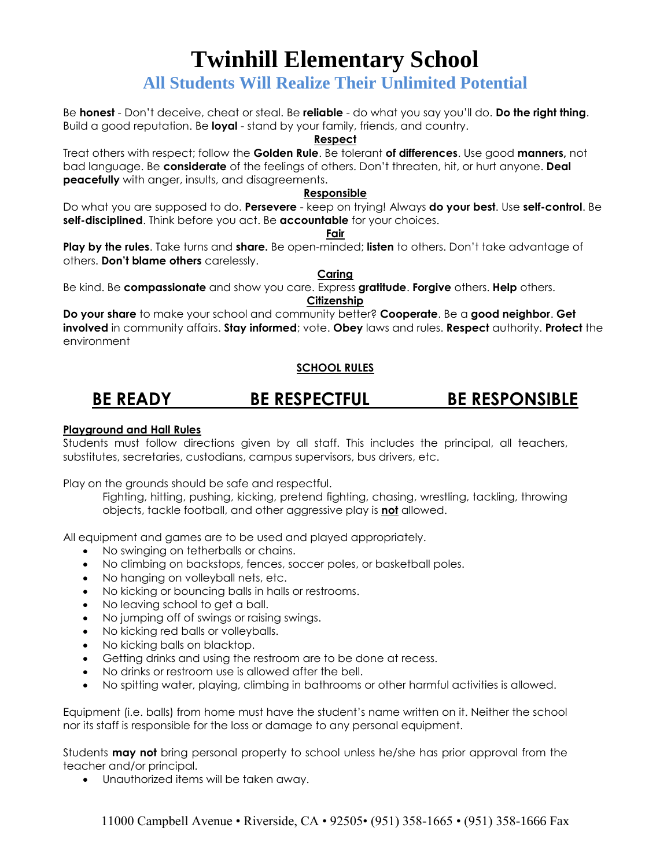## **All Students Will Realize Their Unlimited Potential**

Be **honest** - Don't deceive, cheat or steal. Be **reliable** - do what you say you'll do. **Do the right thing**. Build a good reputation. Be **loyal** - stand by your family, friends, and country.

### **Respect**

Treat others with respect; follow the **Golden Rule**. Be tolerant **of differences**. Use good **manners,** not bad language. Be **considerate** of the feelings of others. Don't threaten, hit, or hurt anyone. **Deal peacefully** with anger, insults, and disagreements.

## **Responsible**

Do what you are supposed to do. **Persevere** - keep on trying! Always **do your best**. Use **self-control**. Be **self-disciplined**. Think before you act. Be **accountable** for your choices.

**Fair**

**Play by the rules**. Take turns and **share.** Be open-minded; **listen** to others. Don't take advantage of others. **Don't blame others** carelessly.

**Caring** Be kind. Be **compassionate** and show you care. Express **gratitude**. **Forgive** others. **Help** others. **Citizenship**

**Do your share** to make your school and community better? **Cooperate**. Be a **good neighbor**. **Get involved** in community affairs. **Stay informed**; vote. **Obey** laws and rules. **Respect** authority. **Protect** the environment

## **SCHOOL RULES**

## **BE READY BE RESPECTFUL BE RESPONSIBLE**

## **Playground and Hall Rules**

Students must follow directions given by all staff. This includes the principal, all teachers, substitutes, secretaries, custodians, campus supervisors, bus drivers, etc.

Play on the grounds should be safe and respectful.

Fighting, hitting, pushing, kicking, pretend fighting, chasing, wrestling, tackling, throwing objects, tackle football, and other aggressive play is **not** allowed.

All equipment and games are to be used and played appropriately.

- No swinging on tetherballs or chains.
- No climbing on backstops, fences, soccer poles, or basketball poles.
- No hanging on volleyball nets, etc.
- No kicking or bouncing balls in halls or restrooms.
- No leaving school to get a ball.
- No jumping off of swings or raising swings.
- No kicking red balls or volleyballs.
- No kicking balls on blacktop.
- Getting drinks and using the restroom are to be done at recess.
- No drinks or restroom use is allowed after the bell.
- No spitting water, playing, climbing in bathrooms or other harmful activities is allowed.

Equipment (i.e. balls) from home must have the student's name written on it. Neither the school nor its staff is responsible for the loss or damage to any personal equipment.

Students **may not** bring personal property to school unless he/she has prior approval from the teacher and/or principal.

Unauthorized items will be taken away.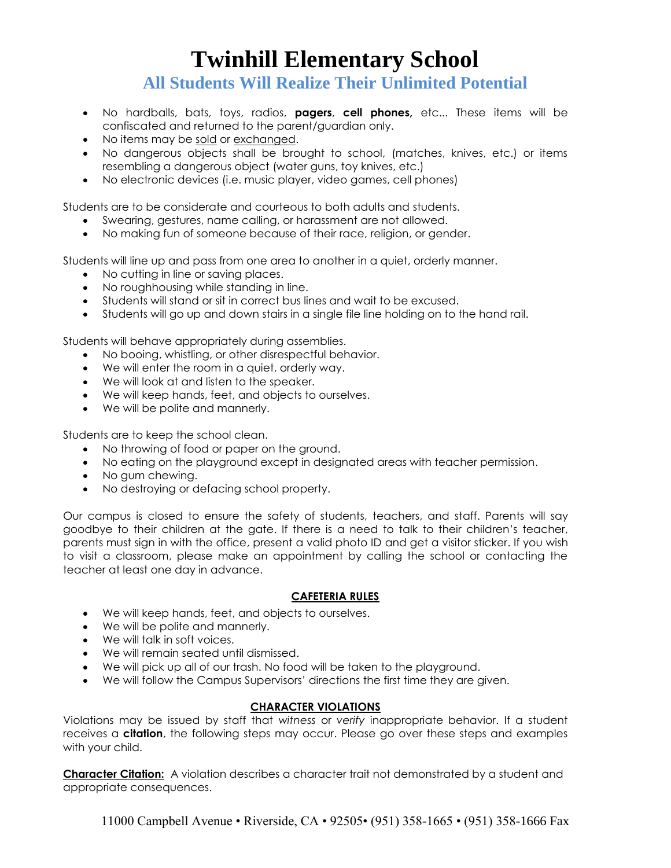**All Students Will Realize Their Unlimited Potential**

- No hardballs, bats, toys, radios, **pagers**, **cell phones,** etc... These items will be confiscated and returned to the parent/guardian only.
- No items may be sold or exchanged.
- No dangerous objects shall be brought to school, (matches, knives, etc.) or items resembling a dangerous object (water guns, toy knives, etc.)
- No electronic devices (i.e. music player, video games, cell phones)

Students are to be considerate and courteous to both adults and students.

- Swearing, gestures, name calling, or harassment are not allowed.
- No making fun of someone because of their race, religion, or gender.

Students will line up and pass from one area to another in a quiet, orderly manner.

- No cutting in line or saving places.
- No roughhousing while standing in line.
- Students will stand or sit in correct bus lines and wait to be excused.
- Students will go up and down stairs in a single file line holding on to the hand rail.

Students will behave appropriately during assemblies.

- No booing, whistling, or other disrespectful behavior.
- We will enter the room in a quiet, orderly way.
- We will look at and listen to the speaker.
- We will keep hands, feet, and objects to ourselves.
- We will be polite and mannerly.

Students are to keep the school clean.

- No throwing of food or paper on the ground.
- No eating on the playground except in designated areas with teacher permission.
- No gum chewing.
- No destroying or defacing school property.

Our campus is closed to ensure the safety of students, teachers, and staff. Parents will say goodbye to their children at the gate. If there is a need to talk to their children's teacher, parents must sign in with the office, present a valid photo ID and get a visitor sticker. If you wish to visit a classroom, please make an appointment by calling the school or contacting the teacher at least one day in advance.

## **CAFETERIA RULES**

- We will keep hands, feet, and objects to ourselves.
- We will be polite and mannerly.
- We will talk in soft voices.
- We will remain seated until dismissed.
- We will pick up all of our trash. No food will be taken to the playground.
- We will follow the Campus Supervisors' directions the first time they are given.

## **CHARACTER VIOLATIONS**

Violations may be issued by staff that *witness* or *verify* inappropriate behavior. If a student receives a **citation**, the following steps may occur. Please go over these steps and examples with your child.

**Character Citation:** A violation describes a character trait not demonstrated by a student and appropriate consequences.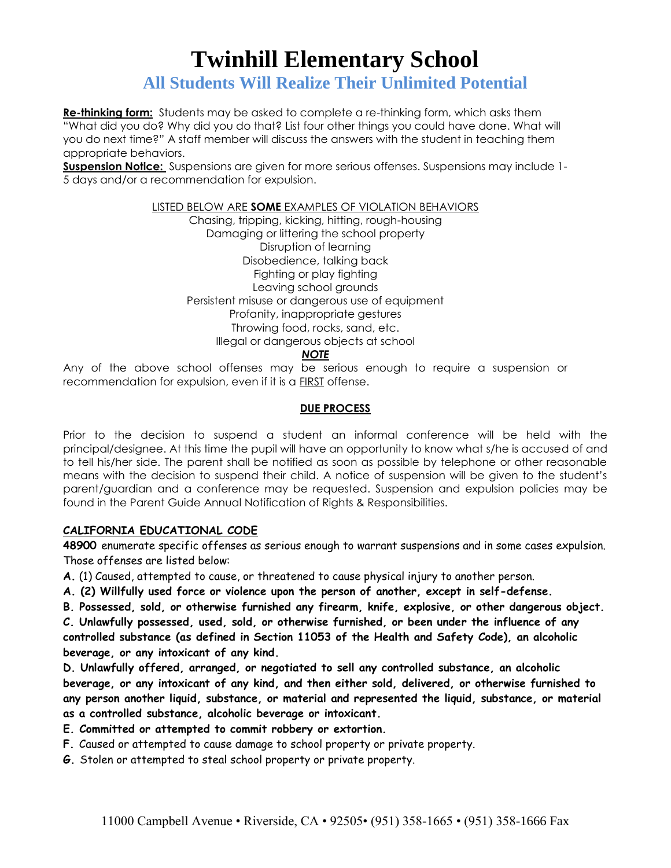**All Students Will Realize Their Unlimited Potential**

**Re-thinking form:** Students may be asked to complete a re-thinking form, which asks them "What did you do? Why did you do that? List four other things you could have done. What will you do next time?" A staff member will discuss the answers with the student in teaching them appropriate behaviors.

**Suspension Notice:** Suspensions are given for more serious offenses. Suspensions may include 1- 5 days and/or a recommendation for expulsion.

### LISTED BELOW ARE **SOME** EXAMPLES OF VIOLATION BEHAVIORS

Chasing, tripping, kicking, hitting, rough-housing Damaging or littering the school property Disruption of learning Disobedience, talking back Fighting or play fighting Leaving school grounds Persistent misuse or dangerous use of equipment Profanity, inappropriate gestures Throwing food, rocks, sand, etc. Illegal or dangerous objects at school

*NOTE*

Any of the above school offenses may be serious enough to require a suspension or recommendation for expulsion, even if it is a FIRST offense.

## **DUE PROCESS**

Prior to the decision to suspend a student an informal conference will be held with the principal/designee. At this time the pupil will have an opportunity to know what s/he is accused of and to tell his/her side. The parent shall be notified as soon as possible by telephone or other reasonable means with the decision to suspend their child. A notice of suspension will be given to the student's parent/guardian and a conference may be requested. Suspension and expulsion policies may be found in the Parent Guide Annual Notification of Rights & Responsibilities.

## **CALIFORNIA EDUCATIONAL CODE**

**48900** enumerate specific offenses as serious enough to warrant suspensions and in some cases expulsion. Those offenses are listed below:

**A.** (1) Caused, attempted to cause, or threatened to cause physical injury to another person.

- **A. (2) Willfully used force or violence upon the person of another, except in self-defense.**
- **B. Possessed, sold, or otherwise furnished any firearm, knife, explosive, or other dangerous object.**

**C. Unlawfully possessed, used, sold, or otherwise furnished, or been under the influence of any controlled substance (as defined in Section 11053 of the Health and Safety Code), an alcoholic beverage, or any intoxicant of any kind.**

**D. Unlawfully offered, arranged, or negotiated to sell any controlled substance, an alcoholic beverage, or any intoxicant of any kind, and then either sold, delivered, or otherwise furnished to any person another liquid, substance, or material and represented the liquid, substance, or material as a controlled substance, alcoholic beverage or intoxicant.**

- **E. Committed or attempted to commit robbery or extortion.**
- **F.** Caused or attempted to cause damage to school property or private property.
- **G.** Stolen or attempted to steal school property or private property.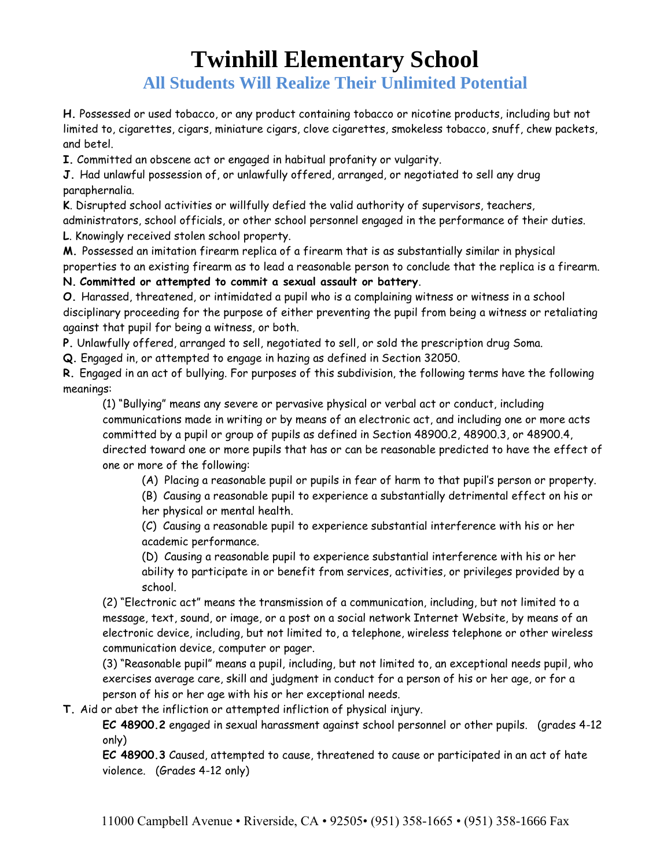**All Students Will Realize Their Unlimited Potential**

**H.** Possessed or used tobacco, or any product containing tobacco or nicotine products, including but not limited to, cigarettes, cigars, miniature cigars, clove cigarettes, smokeless tobacco, snuff, chew packets, and betel.

**I.** Committed an obscene act or engaged in habitual profanity or vulgarity.

**J.** Had unlawful possession of, or unlawfully offered, arranged, or negotiated to sell any drug paraphernalia.

**K**. Disrupted school activities or willfully defied the valid authority of supervisors, teachers, administrators, school officials, or other school personnel engaged in the performance of their duties. **L**. Knowingly received stolen school property.

**M.** Possessed an imitation firearm replica of a firearm that is as substantially similar in physical properties to an existing firearm as to lead a reasonable person to conclude that the replica is a firearm.

**N. Committed or attempted to commit a sexual assault or battery**.

**O.** Harassed, threatened, or intimidated a pupil who is a complaining witness or witness in a school disciplinary proceeding for the purpose of either preventing the pupil from being a witness or retaliating against that pupil for being a witness, or both.

**P.** Unlawfully offered, arranged to sell, negotiated to sell, or sold the prescription drug Soma.

**Q.** Engaged in, or attempted to engage in hazing as defined in Section 32050.

**R.** Engaged in an act of bullying. For purposes of this subdivision, the following terms have the following meanings:

(1) "Bullying" means any severe or pervasive physical or verbal act or conduct, including communications made in writing or by means of an electronic act, and including one or more acts committed by a pupil or group of pupils as defined in Section 48900.2, 48900.3, or 48900.4, directed toward one or more pupils that has or can be reasonable predicted to have the effect of one or more of the following:

(A) Placing a reasonable pupil or pupils in fear of harm to that pupil's person or property.

(B) Causing a reasonable pupil to experience a substantially detrimental effect on his or her physical or mental health.

(C) Causing a reasonable pupil to experience substantial interference with his or her academic performance.

(D) Causing a reasonable pupil to experience substantial interference with his or her ability to participate in or benefit from services, activities, or privileges provided by a school.

(2) "Electronic act" means the transmission of a communication, including, but not limited to a message, text, sound, or image, or a post on a social network Internet Website, by means of an electronic device, including, but not limited to, a telephone, wireless telephone or other wireless communication device, computer or pager.

(3) "Reasonable pupil" means a pupil, including, but not limited to, an exceptional needs pupil, who exercises average care, skill and judgment in conduct for a person of his or her age, or for a person of his or her age with his or her exceptional needs.

**T.** Aid or abet the infliction or attempted infliction of physical injury.

**EC 48900.2** engaged in sexual harassment against school personnel or other pupils. (grades 4-12 only)

**EC 48900.3** Caused, attempted to cause, threatened to cause or participated in an act of hate violence. (Grades 4-12 only)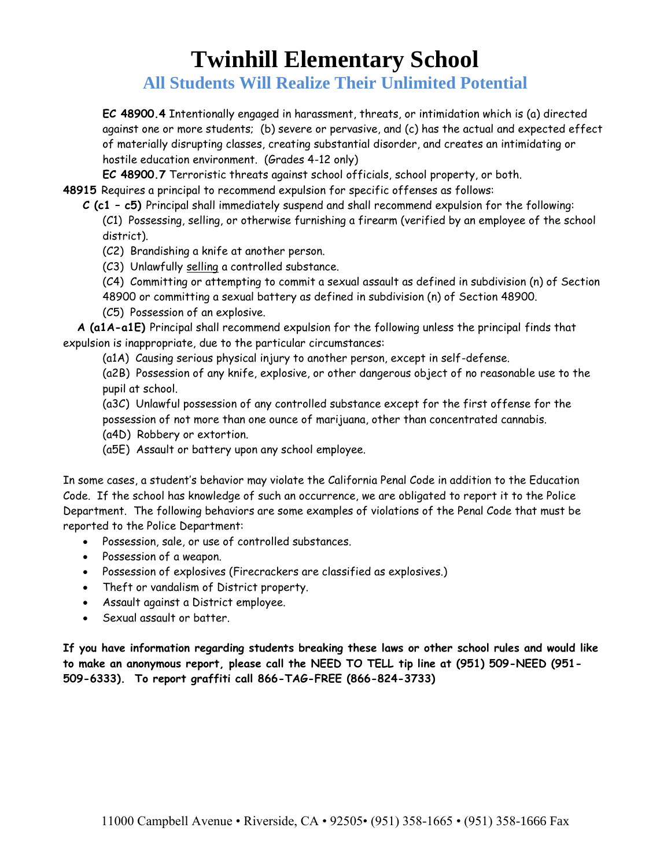**All Students Will Realize Their Unlimited Potential**

**EC 48900.4** Intentionally engaged in harassment, threats, or intimidation which is (a) directed against one or more students; (b) severe or pervasive, and (c) has the actual and expected effect of materially disrupting classes, creating substantial disorder, and creates an intimidating or hostile education environment. (Grades 4-12 only)

**EC 48900.7** Terroristic threats against school officials, school property, or both.

**48915** Requires a principal to recommend expulsion for specific offenses as follows:

**C (c1 – c5)** Principal shall immediately suspend and shall recommend expulsion for the following:

(C1) Possessing, selling, or otherwise furnishing a firearm (verified by an employee of the school district).

- (C2) Brandishing a knife at another person.
- (C3) Unlawfully selling a controlled substance.

(C4) Committing or attempting to commit a sexual assault as defined in subdivision (n) of Section 48900 or committing a sexual battery as defined in subdivision (n) of Section 48900.

(C5) Possession of an explosive.

 **A (a1A-a1E)** Principal shall recommend expulsion for the following unless the principal finds that expulsion is inappropriate, due to the particular circumstances:

(a1A) Causing serious physical injury to another person, except in self-defense.

(a2B) Possession of any knife, explosive, or other dangerous object of no reasonable use to the pupil at school.

(a3C) Unlawful possession of any controlled substance except for the first offense for the possession of not more than one ounce of marijuana, other than concentrated cannabis.

- (a4D) Robbery or extortion.
- (a5E) Assault or battery upon any school employee.

In some cases, a student's behavior may violate the California Penal Code in addition to the Education Code. If the school has knowledge of such an occurrence, we are obligated to report it to the Police Department. The following behaviors are some examples of violations of the Penal Code that must be reported to the Police Department:

- Possession, sale, or use of controlled substances.
- Possession of a weapon.
- Possession of explosives (Firecrackers are classified as explosives.)
- Theft or vandalism of District property.
- Assault against a District employee.
- Sexual assault or batter.

**If you have information regarding students breaking these laws or other school rules and would like to make an anonymous report, please call the NEED TO TELL tip line at (951) 509-NEED (951- 509-6333). To report graffiti call 866-TAG-FREE (866-824-3733)**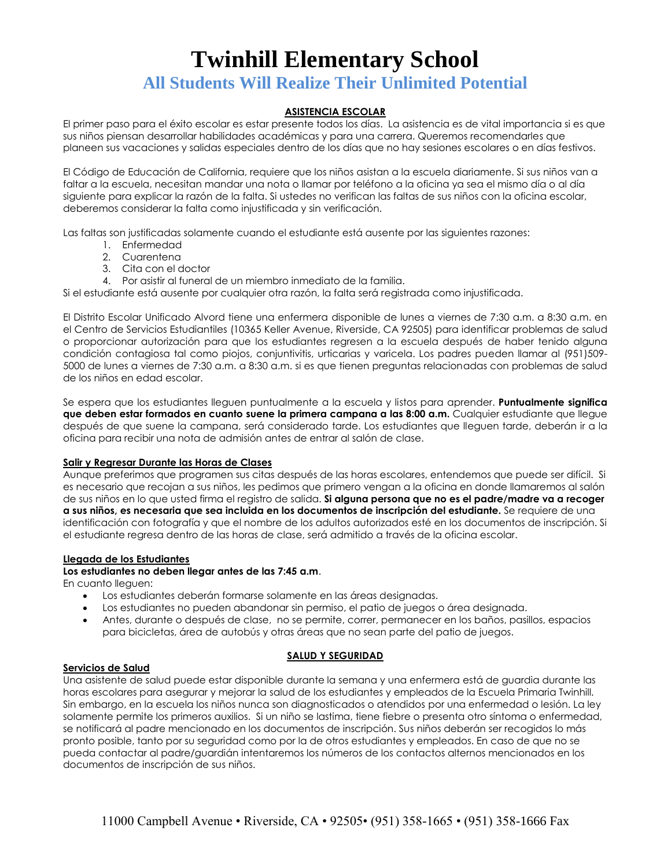## **All Students Will Realize Their Unlimited Potential**

## **ASISTENCIA ESCOLAR**

El primer paso para el éxito escolar es estar presente todos los días. La asistencia es de vital importancia si es que sus niños piensan desarrollar habilidades académicas y para una carrera. Queremos recomendarles que planeen sus vacaciones y salidas especiales dentro de los días que no hay sesiones escolares o en días festivos.

El Código de Educación de California, requiere que los niños asistan a la escuela diariamente. Si sus niños van a faltar a la escuela, necesitan mandar una nota o llamar por teléfono a la oficina ya sea el mismo día o al día siguiente para explicar la razón de la falta. Si ustedes no verifican las faltas de sus niños con la oficina escolar, deberemos considerar la falta como injustificada y sin verificación.

Las faltas son justificadas solamente cuando el estudiante está ausente por las siguientes razones:

- 1. Enfermedad
- 2. Cuarentena
- 3. Cita con el doctor
- 4. Por asistir al funeral de un miembro inmediato de la familia.

Si el estudiante está ausente por cualquier otra razón, la falta será registrada como injustificada.

El Distrito Escolar Unificado Alvord tiene una enfermera disponible de lunes a viernes de 7:30 a.m. a 8:30 a.m. en el Centro de Servicios Estudiantiles (10365 Keller Avenue, Riverside, CA 92505) para identificar problemas de salud o proporcionar autorización para que los estudiantes regresen a la escuela después de haber tenido alguna condición contagiosa tal como piojos, conjuntivitis, urticarias y varicela. Los padres pueden llamar al (951)509- 5000 de lunes a viernes de 7:30 a.m. a 8:30 a.m. si es que tienen preguntas relacionadas con problemas de salud de los niños en edad escolar.

Se espera que los estudiantes lleguen puntualmente a la escuela y listos para aprender. **Puntualmente significa que deben estar formados en cuanto suene la primera campana a las 8:00 a.m.** Cualquier estudiante que llegue después de que suene la campana, será considerado tarde. Los estudiantes que lleguen tarde, deberán ir a la oficina para recibir una nota de admisión antes de entrar al salón de clase.

#### **Salir y Regresar Durante las Horas de Clases**

Aunque preferimos que programen sus citas después de las horas escolares, entendemos que puede ser difícil. Si es necesario que recojan a sus niños, les pedimos que primero vengan a la oficina en donde llamaremos al salón de sus niños en lo que usted firma el registro de salida. **Si alguna persona que no es el padre/madre va a recoger a sus niños, es necesaria que sea incluida en los documentos de inscripción del estudiante.** Se requiere de una identificación con fotografía y que el nombre de los adultos autorizados esté en los documentos de inscripción. Si el estudiante regresa dentro de las horas de clase, será admitido a través de la oficina escolar.

#### **Llegada de los Estudiantes**

#### **Los estudiantes no deben llegar antes de las 7:45 a.m**.

En cuanto lleguen:

- Los estudiantes deberán formarse solamente en las áreas designadas.
- Los estudiantes no pueden abandonar sin permiso, el patio de juegos o área designada.
- Antes, durante o después de clase, no se permite, correr, permanecer en los baños, pasillos, espacios para bicicletas, área de autobús y otras áreas que no sean parte del patio de juegos.

#### **Servicios de Salud**

#### **SALUD Y SEGURIDAD**

Una asistente de salud puede estar disponible durante la semana y una enfermera está de guardia durante las horas escolares para asegurar y mejorar la salud de los estudiantes y empleados de la Escuela Primaria Twinhill. Sin embargo, en la escuela los niños nunca son diagnosticados o atendidos por una enfermedad o lesión. La ley solamente permite los primeros auxilios. Si un niño se lastima, tiene fiebre o presenta otro síntoma o enfermedad, se notificará al padre mencionado en los documentos de inscripción. Sus niños deberán ser recogidos lo más pronto posible, tanto por su seguridad como por la de otros estudiantes y empleados. En caso de que no se pueda contactar al padre/guardián intentaremos los números de los contactos alternos mencionados en los documentos de inscripción de sus niños.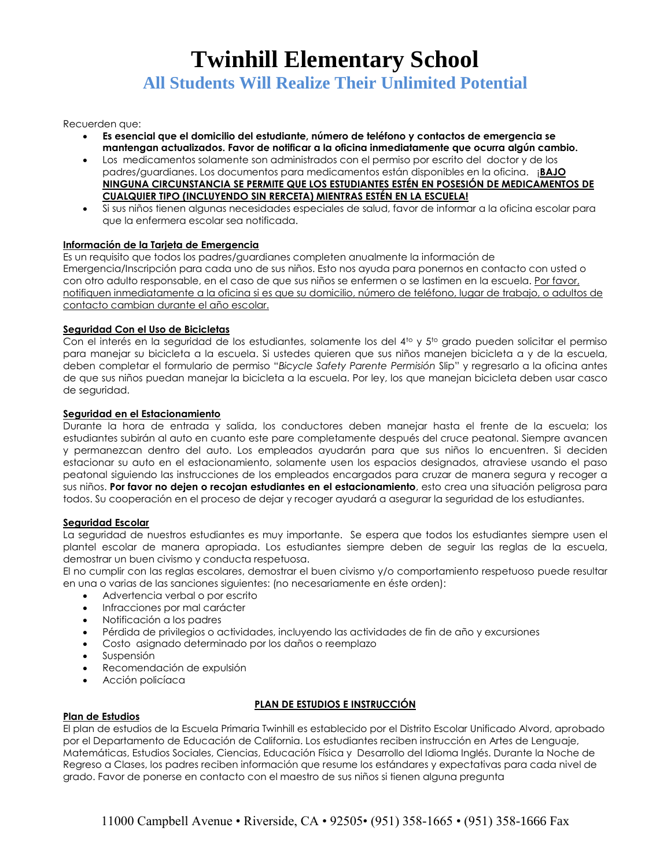**All Students Will Realize Their Unlimited Potential**

Recuerden que:

- **Es esencial que el domicilio del estudiante, número de teléfono y contactos de emergencia se mantengan actualizados. Favor de notificar a la oficina inmediatamente que ocurra algún cambio.**
- Los medicamentos solamente son administrados con el permiso por escrito del doctor y de los padres/guardianes. Los documentos para medicamentos están disponibles en la oficina. ¡**BAJO NINGUNA CIRCUNSTANCIA SE PERMITE QUE LOS ESTUDIANTES ESTÉN EN POSESIÓN DE MEDICAMENTOS DE CUALQUIER TIPO (INCLUYENDO SIN RERCETA) MIENTRAS ESTÉN EN LA ESCUELA!**
- Si sus niños tienen algunas necesidades especiales de salud, favor de informar a la oficina escolar para que la enfermera escolar sea notificada.

#### **Información de la Tarjeta de Emergencia**

Es un requisito que todos los padres/guardianes completen anualmente la información de Emergencia/Inscripción para cada uno de sus niños. Esto nos ayuda para ponernos en contacto con usted o con otro adulto responsable, en el caso de que sus niños se enfermen o se lastimen en la escuela. Por favor, notifiquen inmediatamente a la oficina si es que su domicilio, número de teléfono, lugar de trabajo, o adultos de contacto cambian durante el año escolar.

#### **Seguridad Con el Uso de Bicicletas**

Con el interés en la seguridad de los estudiantes, solamente los del 4<sup>to</sup> y 5<sup>to</sup> grado pueden solicitar el permiso para manejar su bicicleta a la escuela. Si ustedes quieren que sus niños manejen bicicleta a y de la escuela, deben completar el formulario de permiso "*Bicycle Safety Parente Permisión* Slip" y regresarlo a la oficina antes de que sus niños puedan manejar la bicicleta a la escuela. Por ley, los que manejan bicicleta deben usar casco de seguridad.

#### **Seguridad en el Estacionamiento**

Durante la hora de entrada y salida, los conductores deben manejar hasta el frente de la escuela; los estudiantes subirán al auto en cuanto este pare completamente después del cruce peatonal. Siempre avancen y permanezcan dentro del auto. Los empleados ayudarán para que sus niños lo encuentren. Si deciden estacionar su auto en el estacionamiento, solamente usen los espacios designados, atraviese usando el paso peatonal siguiendo las instrucciones de los empleados encargados para cruzar de manera segura y recoger a sus niños. **Por favor no dejen o recojan estudiantes en el estacionamiento**, esto crea una situación peligrosa para todos. Su cooperación en el proceso de dejar y recoger ayudará a asegurar la seguridad de los estudiantes.

#### **Seguridad Escolar**

La seguridad de nuestros estudiantes es muy importante. Se espera que todos los estudiantes siempre usen el plantel escolar de manera apropiada. Los estudiantes siempre deben de seguir las reglas de la escuela, demostrar un buen civismo y conducta respetuosa.

El no cumplir con las reglas escolares, demostrar el buen civismo y/o comportamiento respetuoso puede resultar en una o varias de las sanciones siguientes: (no necesariamente en éste orden):

- Advertencia verbal o por escrito
- Infracciones por mal carácter
- Notificación a los padres
- Pérdida de privilegios o actividades, incluyendo las actividades de fin de año y excursiones
- Costo asignado determinado por los daños o reemplazo
- Suspensión
- Recomendación de expulsión
- Acción policíaca

#### **PLAN DE ESTUDIOS E INSTRUCCIÓN**

#### **Plan de Estudios**

El plan de estudios de la Escuela Primaria Twinhill es establecido por el Distrito Escolar Unificado Alvord, aprobado por el Departamento de Educación de California. Los estudiantes reciben instrucción en Artes de Lenguaje, Matemáticas, Estudios Sociales, Ciencias, Educación Física y Desarrollo del Idioma Inglés. Durante la Noche de Regreso a Clases, los padres reciben información que resume los estándares y expectativas para cada nivel de grado. Favor de ponerse en contacto con el maestro de sus niños si tienen alguna pregunta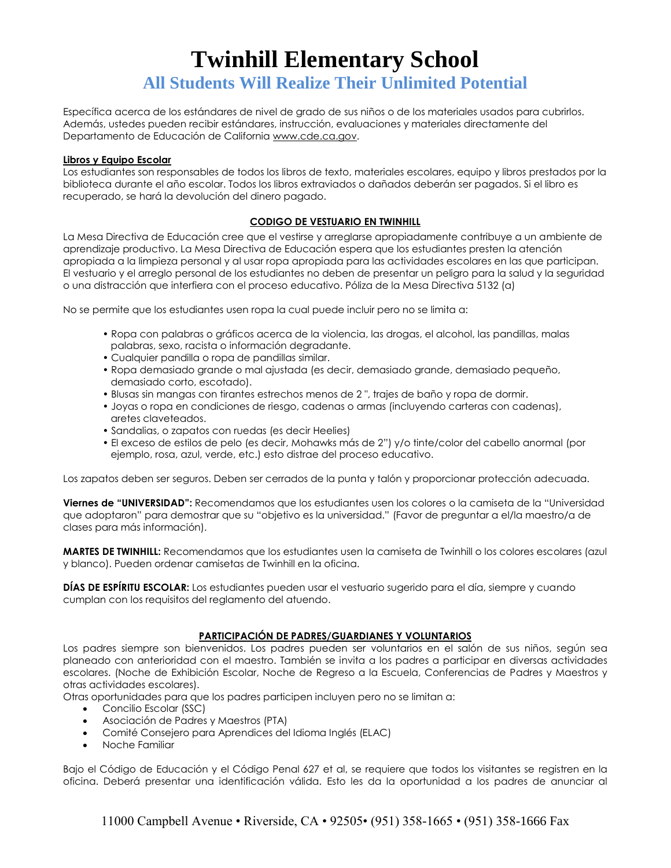Específica acerca de los estándares de nivel de grado de sus niños o de los materiales usados para cubrirlos. Además, ustedes pueden recibir estándares, instrucción, evaluaciones y materiales directamente del Departamento de Educación de California [www.cde.ca.gov.](http://www.cde.ca.gov/)

#### **Libros y Equipo Escolar**

Los estudiantes son responsables de todos los libros de texto, materiales escolares, equipo y libros prestados por la biblioteca durante el año escolar. Todos los libros extraviados o dañados deberán ser pagados. Si el libro es recuperado, se hará la devolución del dinero pagado.

## **CODIGO DE VESTUARIO EN TWINHILL**

La Mesa Directiva de Educación cree que el vestirse y arreglarse apropiadamente contribuye a un ambiente de aprendizaje productivo. La Mesa Directiva de Educación espera que los estudiantes presten la atención apropiada a la limpieza personal y al usar ropa apropiada para las actividades escolares en las que participan. El vestuario y el arreglo personal de los estudiantes no deben de presentar un peligro para la salud y la seguridad o una distracción que interfiera con el proceso educativo. Póliza de la Mesa Directiva 5132 (a)

No se permite que los estudiantes usen ropa la cual puede incluir pero no se limita a:

- Ropa con palabras o gráficos acerca de la violencia, las drogas, el alcohol, las pandillas, malas palabras, sexo, racista o información degradante.
- Cualquier pandilla o ropa de pandillas similar.
- Ropa demasiado grande o mal ajustada (es decir, demasiado grande, demasiado pequeño, demasiado corto, escotado).
- Blusas sin mangas con tirantes estrechos menos de 2 ", trajes de baño y ropa de dormir.
- Joyas o ropa en condiciones de riesgo, cadenas o armas (incluyendo carteras con cadenas), aretes claveteados.
- Sandalias, o zapatos con ruedas (es decir Heelies)
- El exceso de estilos de pelo (es decir, Mohawks más de 2") y/o tinte/color del cabello anormal (por ejemplo, rosa, azul, verde, etc.) esto distrae del proceso educativo.

Los zapatos deben ser seguros. Deben ser cerrados de la punta y talón y proporcionar protección adecuada.

**Viernes de "UNIVERSIDAD":** Recomendamos que los estudiantes usen los colores o la camiseta de la "Universidad que adoptaron" para demostrar que su "objetivo es la universidad." (Favor de preguntar a el/la maestro/a de clases para más información).

**MARTES DE TWINHILL:** Recomendamos que los estudiantes usen la camiseta de Twinhill o los colores escolares (azul y blanco). Pueden ordenar camisetas de Twinhill en la oficina.

**DÍAS DE ESPÍRITU ESCOLAR:** Los estudiantes pueden usar el vestuario sugerido para el día, siempre y cuando cumplan con los requisitos del reglamento del atuendo.

## **PARTICIPACIÓN DE PADRES/GUARDIANES Y VOLUNTARIOS**

Los padres siempre son bienvenidos. Los padres pueden ser voluntarios en el salón de sus niños, según sea planeado con anterioridad con el maestro. También se invita a los padres a participar en diversas actividades escolares. (Noche de Exhibición Escolar, Noche de Regreso a la Escuela, Conferencias de Padres y Maestros y otras actividades escolares).

Otras oportunidades para que los padres participen incluyen pero no se limitan a:

- Concilio Escolar (SSC)
- Asociación de Padres y Maestros (PTA)
- Comité Consejero para Aprendices del Idioma Inglés (ELAC)
- Noche Familiar

Bajo el Código de Educación y el Código Penal 627 et al, se requiere que todos los visitantes se registren en la oficina. Deberá presentar una identificación válida. Esto les da la oportunidad a los padres de anunciar al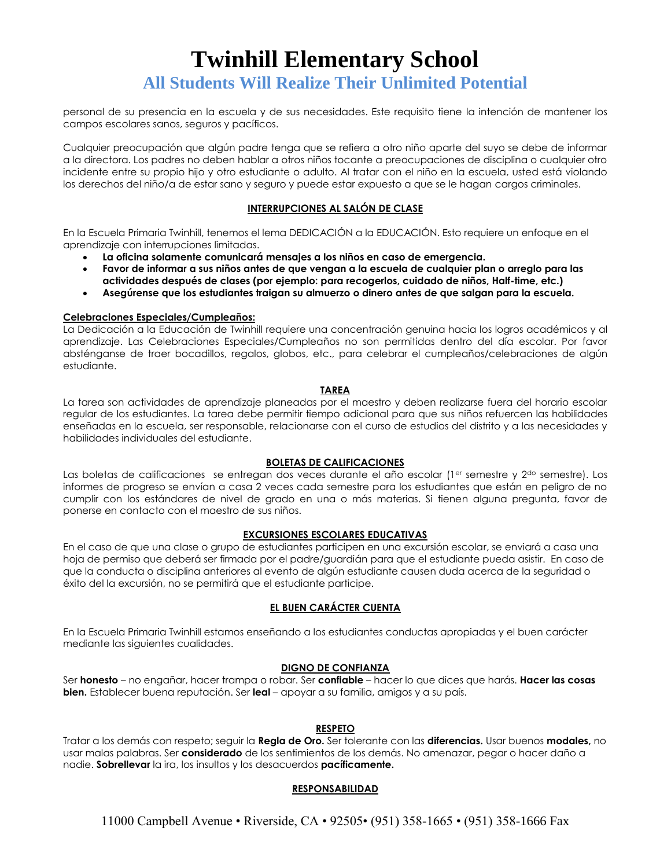personal de su presencia en la escuela y de sus necesidades. Este requisito tiene la intención de mantener los campos escolares sanos, seguros y pacíficos.

Cualquier preocupación que algún padre tenga que se refiera a otro niño aparte del suyo se debe de informar a la directora. Los padres no deben hablar a otros niños tocante a preocupaciones de disciplina o cualquier otro incidente entre su propio hijo y otro estudiante o adulto. Al tratar con el niño en la escuela, usted está violando los derechos del niño/a de estar sano y seguro y puede estar expuesto a que se le hagan cargos criminales.

### **INTERRUPCIONES AL SALÓN DE CLASE**

En la Escuela Primaria Twinhill, tenemos el lema DEDICACIÓN a la EDUCACIÓN. Esto requiere un enfoque en el aprendizaje con interrupciones limitadas.

- **La oficina solamente comunicará mensajes a los niños en caso de emergencia.**
- **Favor de informar a sus niños antes de que vengan a la escuela de cualquier plan o arreglo para las actividades después de clases (por ejemplo: para recogerlos, cuidado de niños, Half-time, etc.)**
- **Asegúrense que los estudiantes traigan su almuerzo o dinero antes de que salgan para la escuela.**

#### **Celebraciones Especiales/Cumpleaños:**

La Dedicación a la Educación de Twinhill requiere una concentración genuina hacia los logros académicos y al aprendizaje. Las Celebraciones Especiales/Cumpleaños no son permitidas dentro del día escolar. Por favor absténganse de traer bocadillos, regalos, globos, etc., para celebrar el cumpleaños/celebraciones de algún estudiante.

#### **TAREA**

La tarea son actividades de aprendizaje planeadas por el maestro y deben realizarse fuera del horario escolar regular de los estudiantes. La tarea debe permitir tiempo adicional para que sus niños refuercen las habilidades enseñadas en la escuela, ser responsable, relacionarse con el curso de estudios del distrito y a las necesidades y habilidades individuales del estudiante.

#### **BOLETAS DE CALIFICACIONES**

Las boletas de calificaciones se entregan dos veces durante el año escolar (1<sup>er</sup> semestre y 2<sup>do</sup> semestre). Los informes de progreso se envían a casa 2 veces cada semestre para los estudiantes que están en peligro de no cumplir con los estándares de nivel de grado en una o más materias. Si tienen alguna pregunta, favor de ponerse en contacto con el maestro de sus niños.

#### **EXCURSIONES ESCOLARES EDUCATIVAS**

En el caso de que una clase o grupo de estudiantes participen en una excursión escolar, se enviará a casa una hoja de permiso que deberá ser firmada por el padre/guardián para que el estudiante pueda asistir. En caso de que la conducta o disciplina anteriores al evento de algún estudiante causen duda acerca de la seguridad o éxito del la excursión, no se permitirá que el estudiante participe.

#### **EL BUEN CARÁCTER CUENTA**

En la Escuela Primaria Twinhill estamos enseñando a los estudiantes conductas apropiadas y el buen carácter mediante las siguientes cualidades.

#### **DIGNO DE CONFIANZA**

Ser **honesto** – no engañar, hacer trampa o robar. Ser **confiable** – hacer lo que dices que harás. **Hacer las cosas bien.** Establecer buena reputación. Ser **leal** – apoyar a su familia, amigos y a su país.

#### **RESPETO**

Tratar a los demás con respeto; seguir la **Regla de Oro.** Ser tolerante con las **diferencias.** Usar buenos **modales,** no usar malas palabras. Ser **considerado** de los sentimientos de los demás. No amenazar, pegar o hacer daño a nadie. **Sobrellevar** la ira, los insultos y los desacuerdos **pacíficamente.**

#### **RESPONSABILIDAD**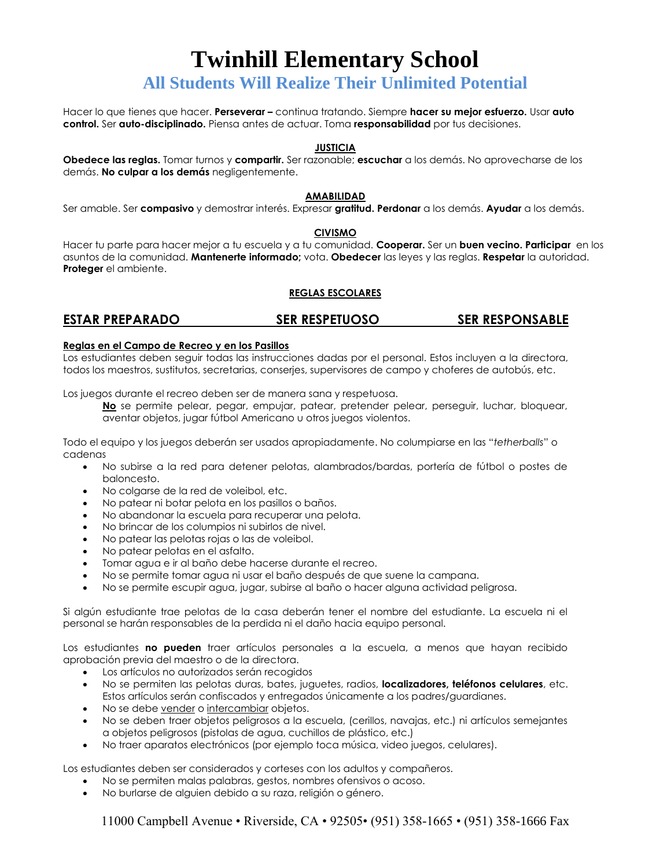## **All Students Will Realize Their Unlimited Potential**

Hacer lo que tienes que hacer. **Perseverar –** continua tratando. Siempre **hacer su mejor esfuerzo.** Usar **auto control.** Ser **auto-disciplinado.** Piensa antes de actuar. Toma **responsabilidad** por tus decisiones.

#### **JUSTICIA**

**Obedece las reglas.** Tomar turnos y **compartir.** Ser razonable; **escuchar** a los demás. No aprovecharse de los demás. **No culpar a los demás** negligentemente.

#### **AMABILIDAD**

Ser amable. Ser **compasivo** y demostrar interés. Expresar **gratitud. Perdonar** a los demás. **Ayudar** a los demás.

#### **CIVISMO**

Hacer tu parte para hacer mejor a tu escuela y a tu comunidad. **Cooperar.** Ser un **buen vecino. Participar** en los asuntos de la comunidad. **Mantenerte informado;** vota. **Obedecer** las leyes y las reglas. **Respetar** la autoridad. **Proteger** el ambiente.

## **REGLAS ESCOLARES**

## **ESTAR PREPARADO SER RESPETUOSO SER RESPONSABLE**

#### **Reglas en el Campo de Recreo y en los Pasillos**

Los estudiantes deben seguir todas las instrucciones dadas por el personal. Estos incluyen a la directora, todos los maestros, sustitutos, secretarias, conserjes, supervisores de campo y choferes de autobús, etc.

Los juegos durante el recreo deben ser de manera sana y respetuosa.

**No** se permite pelear, pegar, empujar, patear, pretender pelear, perseguir, luchar, bloquear, aventar objetos, jugar fútbol Americano u otros juegos violentos.

Todo el equipo y los juegos deberán ser usados apropiadamente. No columpiarse en las "*tetherballs*" o cadenas

- No subirse a la red para detener pelotas, alambrados/bardas, portería de fútbol o postes de baloncesto.
- No colgarse de la red de voleibol, etc.
- No patear ni botar pelota en los pasillos o baños.
- No abandonar la escuela para recuperar una pelota.
- No brincar de los columpios ni subirlos de nivel.
- No patear las pelotas rojas o las de voleibol.
- No patear pelotas en el asfalto.
- Tomar agua e ir al baño debe hacerse durante el recreo.
- No se permite tomar agua ni usar el baño después de que suene la campana.
- No se permite escupir agua, jugar, subirse al baño o hacer alguna actividad peligrosa.

Si algún estudiante trae pelotas de la casa deberán tener el nombre del estudiante. La escuela ni el personal se harán responsables de la perdida ni el daño hacia equipo personal.

Los estudiantes **no pueden** traer artículos personales a la escuela, a menos que hayan recibido aprobación previa del maestro o de la directora.

- Los artículos no autorizados serán recogidos
- No se permiten las pelotas duras, bates, juguetes, radios, **localizadores, teléfonos celulares**, etc. Estos artículos serán confiscados y entregados únicamente a los padres/guardianes.
- No se debe vender o intercambiar objetos.
- No se deben traer objetos peligrosos a la escuela, (cerillos, navajas, etc.) ni artículos semejantes a objetos peligrosos (pistolas de agua, cuchillos de plástico, etc.)
- No traer aparatos electrónicos (por ejemplo toca música, video juegos, celulares).

Los estudiantes deben ser considerados y corteses con los adultos y compañeros.

- No se permiten malas palabras, gestos, nombres ofensivos o acoso.
- No burlarse de alguien debido a su raza, religión o género.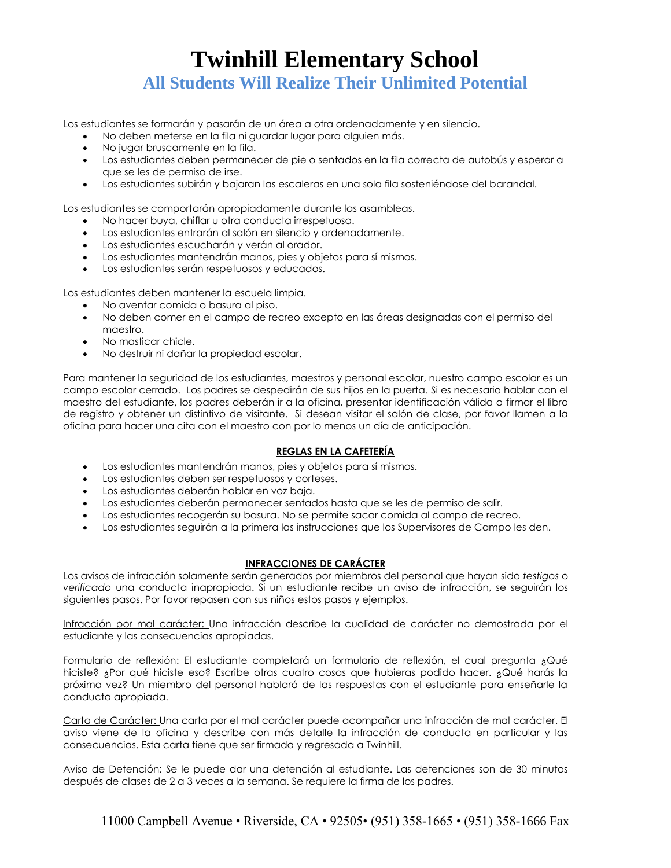Los estudiantes se formarán y pasarán de un área a otra ordenadamente y en silencio.

- No deben meterse en la fila ni guardar lugar para alguien más.
- No jugar bruscamente en la fila.
- Los estudiantes deben permanecer de pie o sentados en la fila correcta de autobús y esperar a que se les de permiso de irse.
- Los estudiantes subirán y bajaran las escaleras en una sola fila sosteniéndose del barandal.

Los estudiantes se comportarán apropiadamente durante las asambleas.

- No hacer buya, chiflar u otra conducta irrespetuosa.
- Los estudiantes entrarán al salón en silencio y ordenadamente.
- Los estudiantes escucharán y verán al orador.
- Los estudiantes mantendrán manos, pies y objetos para sí mismos.
- Los estudiantes serán respetuosos y educados.

Los estudiantes deben mantener la escuela limpia.

- No aventar comida o basura al piso.
- No deben comer en el campo de recreo excepto en las áreas designadas con el permiso del maestro.
- No masticar chicle.
- No destruir ni dañar la propiedad escolar.

Para mantener la seguridad de los estudiantes, maestros y personal escolar, nuestro campo escolar es un campo escolar cerrado. Los padres se despedirán de sus hijos en la puerta. Si es necesario hablar con el maestro del estudiante, los padres deberán ir a la oficina, presentar identificación válida o firmar el libro de registro y obtener un distintivo de visitante. Si desean visitar el salón de clase, por favor llamen a la oficina para hacer una cita con el maestro con por lo menos un día de anticipación.

## **REGLAS EN LA CAFETERÍA**

- Los estudiantes mantendrán manos, pies y objetos para sí mismos.
- Los estudiantes deben ser respetuosos y corteses.
- Los estudiantes deberán hablar en voz baja.
- Los estudiantes deberán permanecer sentados hasta que se les de permiso de salir.
- Los estudiantes recogerán su basura. No se permite sacar comida al campo de recreo.
- Los estudiantes seguirán a la primera las instrucciones que los Supervisores de Campo les den.

## **INFRACCIONES DE CARÁCTER**

Los avisos de infracción solamente serán generados por miembros del personal que hayan sido *testigos* o *verificado* una conducta inapropiada. Si un estudiante recibe un aviso de infracción, se seguirán los siguientes pasos. Por favor repasen con sus niños estos pasos y ejemplos.

Infracción por mal carácter: Una infracción describe la cualidad de carácter no demostrada por el estudiante y las consecuencias apropiadas.

Formulario de reflexión: El estudiante completará un formulario de reflexión, el cual pregunta ¿Qué hiciste? ¿Por qué hiciste eso? Escribe otras cuatro cosas que hubieras podido hacer. ¿Qué harás la próxima vez? Un miembro del personal hablará de las respuestas con el estudiante para enseñarle la conducta apropiada.

Carta de Carácter: Una carta por el mal carácter puede acompañar una infracción de mal carácter. El aviso viene de la oficina y describe con más detalle la infracción de conducta en particular y las consecuencias. Esta carta tiene que ser firmada y regresada a Twinhill.

Aviso de Detención: Se le puede dar una detención al estudiante. Las detenciones son de 30 minutos después de clases de 2 a 3 veces a la semana. Se requiere la firma de los padres.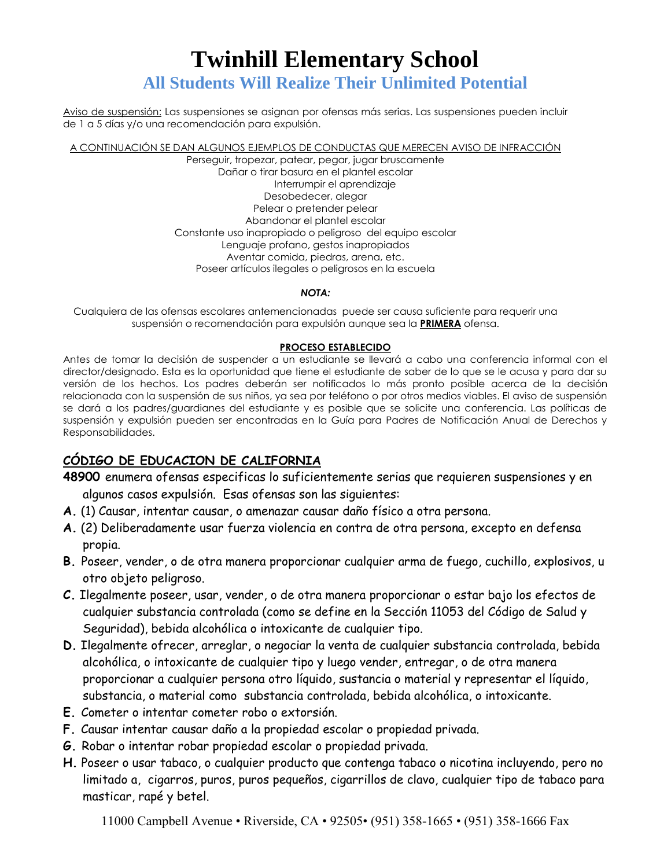Aviso de suspensión: Las suspensiones se asignan por ofensas más serias. Las suspensiones pueden incluir de 1 a 5 días y/o una recomendación para expulsión.

A CONTINUACIÓN SE DAN ALGUNOS EJEMPLOS DE CONDUCTAS QUE MERECEN AVISO DE INFRACCIÓN

Perseguir, tropezar, patear, pegar, jugar bruscamente Dañar o tirar basura en el plantel escolar Interrumpir el aprendizaje Desobedecer, alegar Pelear o pretender pelear Abandonar el plantel escolar Constante uso inapropiado o peligroso del equipo escolar Lenguaje profano, gestos inapropiados Aventar comida, piedras, arena, etc. Poseer artículos ilegales o peligrosos en la escuela

### *NOTA:*

Cualquiera de las ofensas escolares antemencionadas puede ser causa suficiente para requerir una suspensión o recomendación para expulsión aunque sea la **PRIMERA** ofensa.

## **PROCESO ESTABLECIDO**

Antes de tomar la decisión de suspender a un estudiante se llevará a cabo una conferencia informal con el director/designado. Esta es la oportunidad que tiene el estudiante de saber de lo que se le acusa y para dar su versión de los hechos. Los padres deberán ser notificados lo más pronto posible acerca de la decisión relacionada con la suspensión de sus niños, ya sea por teléfono o por otros medios viables. El aviso de suspensión se dará a los padres/guardianes del estudiante y es posible que se solicite una conferencia. Las políticas de suspensión y expulsión pueden ser encontradas en la Guía para Padres de Notificación Anual de Derechos y Responsabilidades.

## **CÓDIGO DE EDUCACION DE CALIFORNIA**

- **48900** enumera ofensas especificas lo suficientemente serias que requieren suspensiones y en algunos casos expulsión. Esas ofensas son las siguientes:
- **A.** (1) Causar, intentar causar, o amenazar causar daño físico a otra persona.
- **A.** (2) Deliberadamente usar fuerza violencia en contra de otra persona, excepto en defensa propia.
- **B.** Poseer, vender, o de otra manera proporcionar cualquier arma de fuego, cuchillo, explosivos, u otro objeto peligroso.
- **C.** Ilegalmente poseer, usar, vender, o de otra manera proporcionar o estar bajo los efectos de cualquier substancia controlada (como se define en la Sección 11053 del Código de Salud y Seguridad), bebida alcohólica o intoxicante de cualquier tipo.
- **D.** Ilegalmente ofrecer, arreglar, o negociar la venta de cualquier substancia controlada, bebida alcohólica, o intoxicante de cualquier tipo y luego vender, entregar, o de otra manera proporcionar a cualquier persona otro líquido, sustancia o material y representar el líquido, substancia, o material como substancia controlada, bebida alcohólica, o intoxicante.
- **E.** Cometer o intentar cometer robo o extorsión.
- **F.** Causar intentar causar daño a la propiedad escolar o propiedad privada.
- **G.** Robar o intentar robar propiedad escolar o propiedad privada.
- **H.** Poseer o usar tabaco, o cualquier producto que contenga tabaco o nicotina incluyendo, pero no limitado a, cigarros, puros, puros pequeños, cigarrillos de clavo, cualquier tipo de tabaco para masticar, rapé y betel.

```
11000 Campbell Avenue • Riverside, CA • 92505• (951) 358-1665 • (951) 358-1666 Fax
```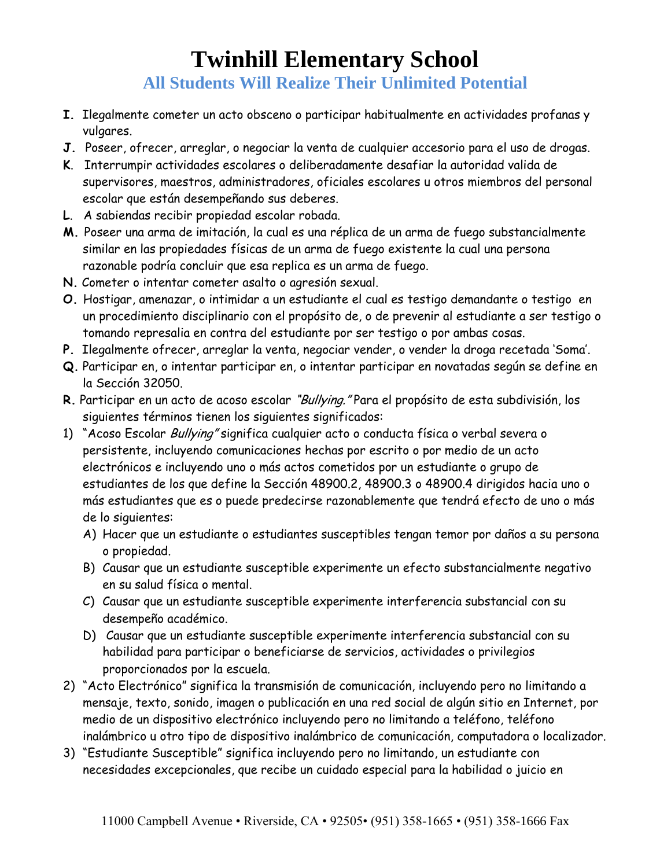- **I.** Ilegalmente cometer un acto obsceno o participar habitualmente en actividades profanas y vulgares.
- **J.** Poseer, ofrecer, arreglar, o negociar la venta de cualquier accesorio para el uso de drogas.
- **K**. Interrumpir actividades escolares o deliberadamente desafiar la autoridad valida de supervisores, maestros, administradores, oficiales escolares u otros miembros del personal escolar que están desempeñando sus deberes.
- **L**. A sabiendas recibir propiedad escolar robada.
- **M.** Poseer una arma de imitación, la cual es una réplica de un arma de fuego substancialmente similar en las propiedades físicas de un arma de fuego existente la cual una persona razonable podría concluir que esa replica es un arma de fuego.
- **N.** Cometer o intentar cometer asalto o agresión sexual.
- **O.** Hostigar, amenazar, o intimidar a un estudiante el cual es testigo demandante o testigo en un procedimiento disciplinario con el propósito de, o de prevenir al estudiante a ser testigo o tomando represalia en contra del estudiante por ser testigo o por ambas cosas.
- **P.** Ilegalmente ofrecer, arreglar la venta, negociar vender, o vender la droga recetada 'Soma'.
- **Q.** Participar en, o intentar participar en, o intentar participar en novatadas según se define en la Sección 32050.
- **R.** Participar en un acto de acoso escolar "Bullying." Para el propósito de esta subdivisión, los siguientes términos tienen los siguientes significados:
- 1) "Acoso Escolar Bullying" significa cualquier acto o conducta física o verbal severa o persistente, incluyendo comunicaciones hechas por escrito o por medio de un acto electrónicos e incluyendo uno o más actos cometidos por un estudiante o grupo de estudiantes de los que define la Sección 48900.2, 48900.3 o 48900.4 dirigidos hacia uno o más estudiantes que es o puede predecirse razonablemente que tendrá efecto de uno o más de lo siguientes:
	- A) Hacer que un estudiante o estudiantes susceptibles tengan temor por daños a su persona o propiedad.
	- B) Causar que un estudiante susceptible experimente un efecto substancialmente negativo en su salud física o mental.
	- C) Causar que un estudiante susceptible experimente interferencia substancial con su desempeño académico.
	- D) Causar que un estudiante susceptible experimente interferencia substancial con su habilidad para participar o beneficiarse de servicios, actividades o privilegios proporcionados por la escuela.
- 2) "Acto Electrónico" significa la transmisión de comunicación, incluyendo pero no limitando a mensaje, texto, sonido, imagen o publicación en una red social de algún sitio en Internet, por medio de un dispositivo electrónico incluyendo pero no limitando a teléfono, teléfono inalámbrico u otro tipo de dispositivo inalámbrico de comunicación, computadora o localizador.
- 3) "Estudiante Susceptible" significa incluyendo pero no limitando, un estudiante con necesidades excepcionales, que recibe un cuidado especial para la habilidad o juicio en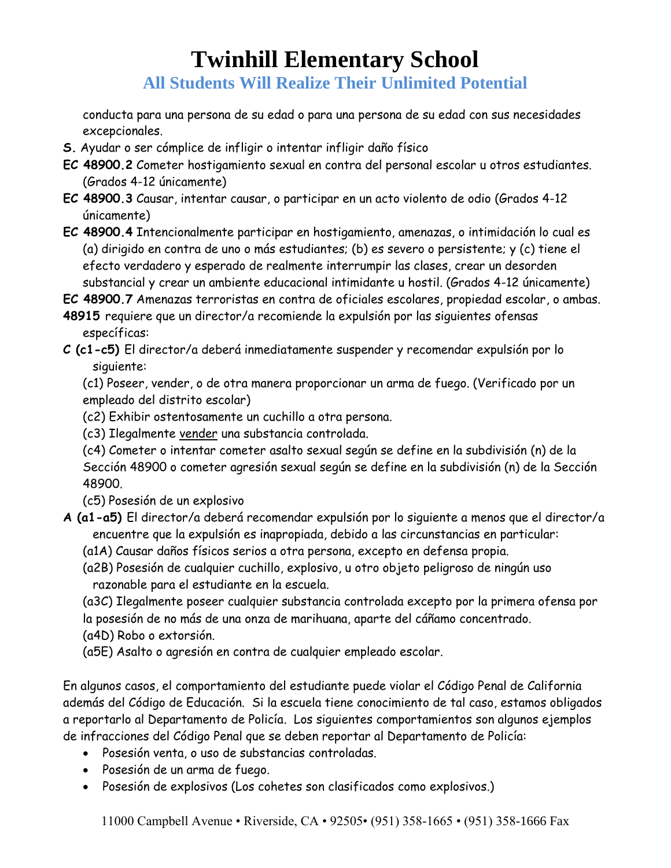**All Students Will Realize Their Unlimited Potential**

conducta para una persona de su edad o para una persona de su edad con sus necesidades excepcionales.

- **S.** Ayudar o ser cómplice de infligir o intentar infligir daño físico
- **EC 48900.2** Cometer hostigamiento sexual en contra del personal escolar u otros estudiantes. (Grados 4-12 únicamente)
- **EC 48900.3** Causar, intentar causar, o participar en un acto violento de odio (Grados 4-12 únicamente)
- **EC 48900.4** Intencionalmente participar en hostigamiento, amenazas, o intimidación lo cual es (a) dirigido en contra de uno o más estudiantes; (b) es severo o persistente; y (c) tiene el efecto verdadero y esperado de realmente interrumpir las clases, crear un desorden substancial y crear un ambiente educacional intimidante u hostil. (Grados 4-12 únicamente)

**EC 48900.7** Amenazas terroristas en contra de oficiales escolares, propiedad escolar, o ambas.

- **48915** requiere que un director/a recomiende la expulsión por las siguientes ofensas específicas:
- **C (c1-c5)** El director/a deberá inmediatamente suspender y recomendar expulsión por lo siguiente:

(c1) Poseer, vender, o de otra manera proporcionar un arma de fuego. (Verificado por un empleado del distrito escolar)

- (c2) Exhibir ostentosamente un cuchillo a otra persona.
- (c3) Ilegalmente vender una substancia controlada.
- (c4) Cometer o intentar cometer asalto sexual según se define en la subdivisión (n) de la

Sección 48900 o cometer agresión sexual según se define en la subdivisión (n) de la Sección 48900.

(c5) Posesión de un explosivo

- **A (a1-a5)** El director/a deberá recomendar expulsión por lo siguiente a menos que el director/a encuentre que la expulsión es inapropiada, debido a las circunstancias en particular:
	- (a1A) Causar daños físicos serios a otra persona, excepto en defensa propia.
	- (a2B) Posesión de cualquier cuchillo, explosivo, u otro objeto peligroso de ningún uso razonable para el estudiante en la escuela.
	- (a3C) Ilegalmente poseer cualquier substancia controlada excepto por la primera ofensa por la posesión de no más de una onza de marihuana, aparte del cáñamo concentrado.
	- (a4D) Robo o extorsión.
	- (a5E) Asalto o agresión en contra de cualquier empleado escolar.

En algunos casos, el comportamiento del estudiante puede violar el Código Penal de California además del Código de Educación. Si la escuela tiene conocimiento de tal caso, estamos obligados a reportarlo al Departamento de Policía. Los siguientes comportamientos son algunos ejemplos de infracciones del Código Penal que se deben reportar al Departamento de Policía:

- Posesión venta, o uso de substancias controladas.
- Posesión de un arma de fuego.
- Posesión de explosivos (Los cohetes son clasificados como explosivos.)